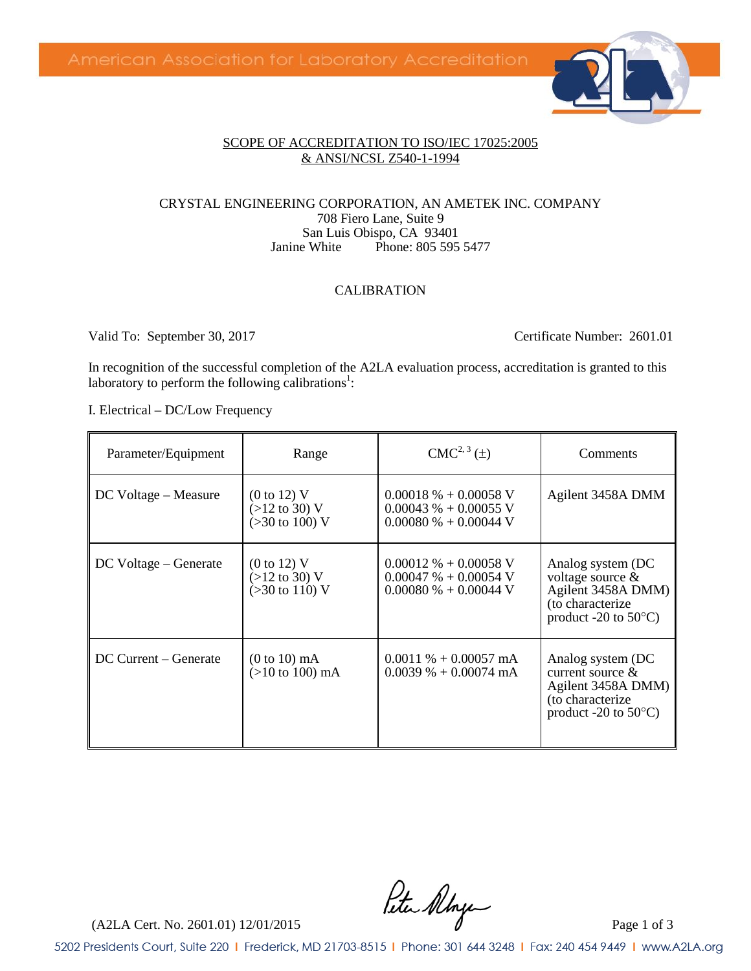

#### SCOPE OF ACCREDITATION TO ISO/IEC 17025:2005 & ANSI/NCSL Z540-1-1994

#### CRYSTAL ENGINEERING CORPORATION, AN AMETEK INC. COMPANY 708 Fiero Lane, Suite 9 San Luis Obispo, CA 93401<br>Janine White Phone: 805 595 Phone: 805 595 5477

#### CALIBRATION

Valid To: September 30, 2017 Certificate Number: 2601.01

In recognition of the successful completion of the A2LA evaluation process, accreditation is granted to this laboratory to perform the following calibrations<sup>1</sup>:

I. Electrical – DC/Low Frequency

| Parameter/Equipment   | Range                                                                                   | $CMC2, 3(\pm)$                                                                 | Comments                                                                                                              |
|-----------------------|-----------------------------------------------------------------------------------------|--------------------------------------------------------------------------------|-----------------------------------------------------------------------------------------------------------------------|
| DC Voltage – Measure  | $(0 \text{ to } 12)$ V<br>$(>12 \text{ to } 30)$ V<br>$(>30 \text{ to } 100) \text{ V}$ | $0.00018\% + 0.00058$ V<br>$0.00043\% + 0.00055$ V<br>$0.00080\% + 0.00044$ V  | Agilent 3458A DMM                                                                                                     |
| DC Voltage – Generate | $(0 \text{ to } 12)$ V<br>$(>12$ to 30) V<br>$(>30 \text{ to } 110)$ V                  | $0.00012\% + 0.00058$ V<br>$0.00047 \% + 0.00054 V$<br>$0.00080\% + 0.00044$ V | Analog system (DC<br>voltage source $\&$<br>Agilent 3458A DMM)<br>(to characterize)<br>product -20 to $50^{\circ}$ C) |
| DC Current – Generate | $(0 to 10)$ mA<br>$(>10 \text{ to } 100) \text{ mA}$                                    | $0.0011\% + 0.00057 \text{ mA}$<br>$0.0039\% + 0.00074 \text{ mA}$             | Analog system (DC<br>current source $\&$<br>Agilent 3458A DMM)<br>(to characterize<br>product -20 to $50^{\circ}$ C)  |

 $(1)$ <br>(A2LA Cert. No. 2601.01) 12/01/2015 Page 1 of 3

5202 Presidents Court, Suite 220 | Frederick, MD 21703-8515 | Phone: 301 644 3248 | Fax: 240 454 9449 | www.A2LA.org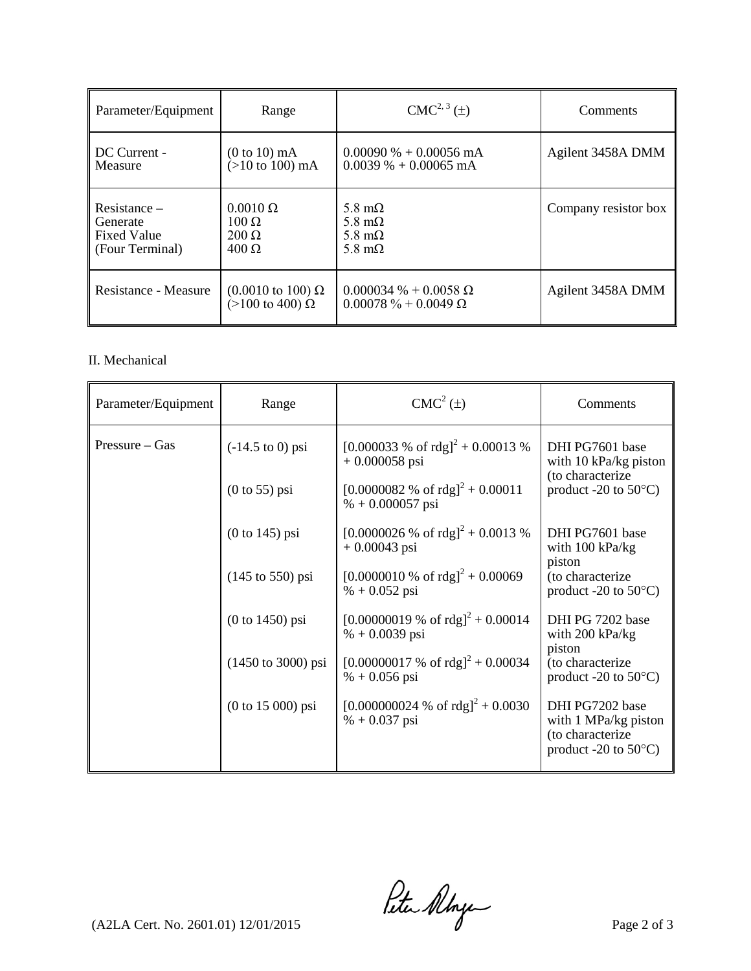| Parameter/Equipment  | Range                                                          | $CMC2, 3(\pm)$                                              | Comments             |
|----------------------|----------------------------------------------------------------|-------------------------------------------------------------|----------------------|
| DC Current -         | $(0 to 10)$ mA                                                 | $0.00090\% + 0.00056 \text{ mA}$                            | Agilent 3458A DMM    |
| Measure              | $(>10$ to 100) mA                                              | $0.0039\% + 0.00065 \text{ mA}$                             |                      |
| $Resistance -$       | $0.0010 \Omega$                                                | 5.8 m $\Omega$                                              | Company resistor box |
| Generate             | $100 \Omega$                                                   | 5.8 m $\Omega$                                              |                      |
| <b>Fixed Value</b>   | $200 \Omega$                                                   | 5.8 m $\Omega$                                              |                      |
| (Four Terminal)      | $400 \Omega$                                                   | 5.8 m $\Omega$                                              |                      |
| Resistance - Measure | $(0.0010 \text{ to } 100) \Omega$<br>( $>100$ to 400) $\Omega$ | $0.000034\% + 0.0058\Omega$<br>$0.00078 \% + 0.0049 \Omega$ | Agilent 3458A DMM    |

#### II. Mechanical

| Parameter/Equipment | Range                                 | $CMC2(\pm)$                                                     | Comments                                                                                                  |
|---------------------|---------------------------------------|-----------------------------------------------------------------|-----------------------------------------------------------------------------------------------------------|
| $Pressure - Gas$    | $(-14.5 \text{ to } 0) \text{ psi}$   | [0.000033 % of rdg] <sup>2</sup> + 0.00013 %<br>$+0.000058$ psi | DHI PG7601 base<br>with $10 \text{ kPa/kg}$ piston<br>(to characterize)<br>product -20 to $50^{\circ}$ C) |
|                     | $(0 \text{ to } 55)$ psi              | $[0.0000082 % of rdg]2 + 0.00011$<br>$% +0.000057$ psi          |                                                                                                           |
|                     | $(0 to 145)$ psi                      | $[0.0000026 % of rdg]2 + 0.0013 %$<br>$+0.00043$ psi            | DHI PG7601 base<br>with $100 \text{ kPa/kg}$                                                              |
|                     | $(145 \text{ to } 550) \text{ psi}$   | $[0.0000010 % of rdg]2 + 0.00069$<br>$% +0.052$ psi             | piston<br>(to characterize<br>product -20 to $50^{\circ}$ C)                                              |
|                     | $(0 to 1450)$ psi                     | $[0.00000019 % of rdg]2 + 0.00014$<br>$% +0.0039$ psi           | DHI PG 7202 base<br>with $200 \text{ kPa/kg}$<br>piston                                                   |
|                     | $(1450 \text{ to } 3000) \text{ psi}$ | $[0.00000017 % of rdg]2 + 0.00034$<br>$% +0.056$ psi            | (to characterize<br>product -20 to $50^{\circ}$ C)                                                        |
|                     | $(0 to 15 000)$ psi                   | $[0.000000024 % of rdg]2 + 0.0030$<br>$% +0.037$ psi            | DHI PG7202 base<br>with 1 MPa/kg piston<br>(to characterize<br>product -20 to $50^{\circ}$ C)             |

 $\int_{\mathcal{A}} \mathcal{A}$  (A2LA Cert. No. 2601.01) 12/01/2015 Page 2 of 3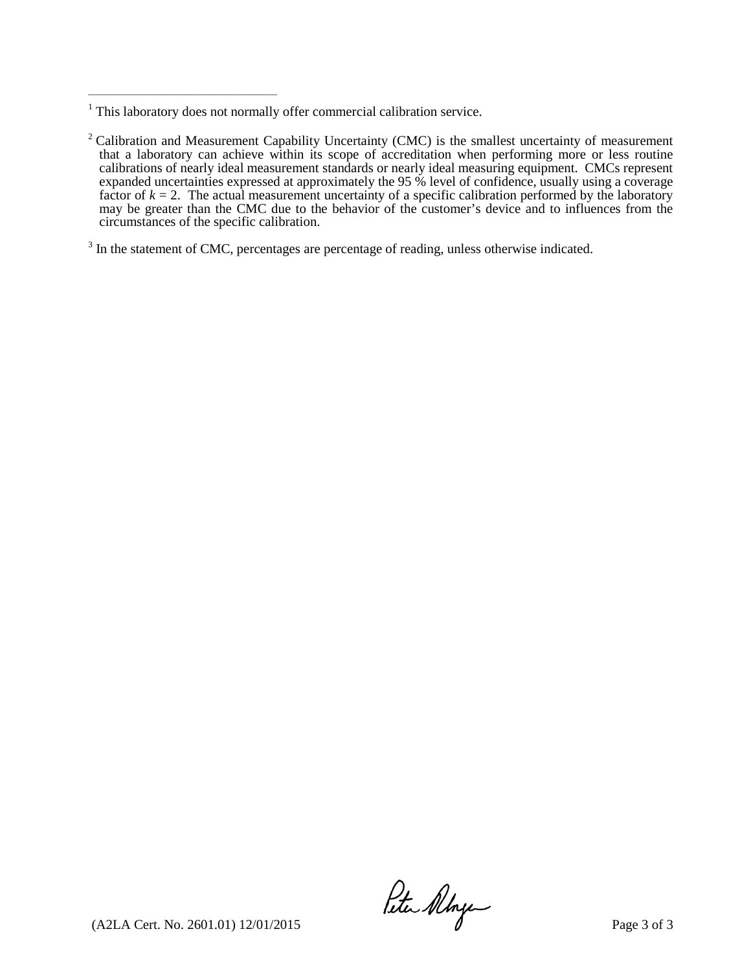\_\_\_\_\_\_\_\_\_\_\_\_\_\_\_\_\_\_\_\_\_\_\_\_\_\_\_\_\_\_\_\_\_\_\_\_\_\_\_\_\_\_\_\_

<sup>3</sup> In the statement of CMC, percentages are percentage of reading, unless otherwise indicated.

 $(1)$ <br>(A2LA Cert. No. 2601.01) 12/01/2015 Page 3 of 3

<sup>&</sup>lt;sup>1</sup> This laboratory does not normally offer commercial calibration service.

 $2$  Calibration and Measurement Capability Uncertainty (CMC) is the smallest uncertainty of measurement that a laboratory can achieve within its scope of accreditation when performing more or less routine calibrations of nearly ideal measurement standards or nearly ideal measuring equipment. CMCs represent expanded uncertainties expressed at approximately the 95 % level of confidence, usually using a coverage factor of  $k = 2$ . The actual measurement uncertainty of a specific calibration performed by the laboratory may be greater than the CMC due to the behavior of the customer's device and to influences from the circumstances of the specific calibration.